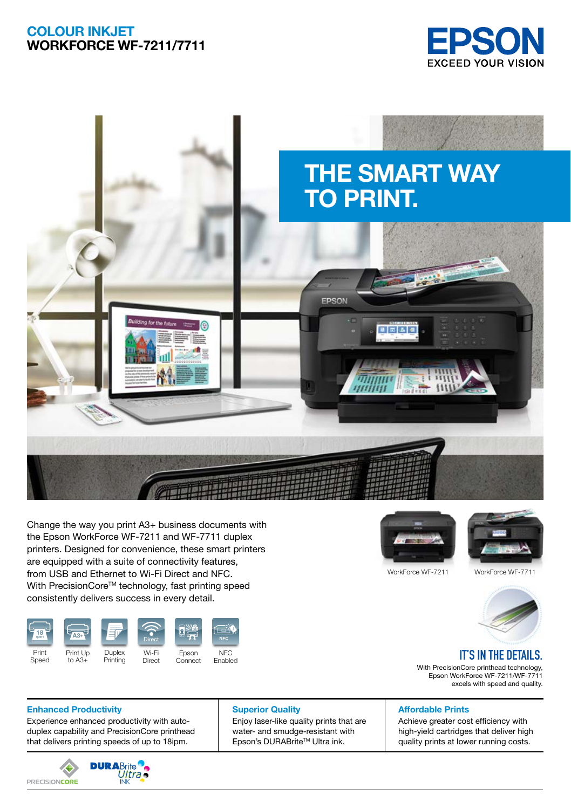## COLOUR INKJET WORKFORCE WF-7211/7711





Change the way you print A3+ business documents with the Epson WorkForce WF-7211 and WF-7711 duplex printers. Designed for convenience, these smart printers are equipped with a suite of connectivity features. from USB and Ethernet to Wi-Fi Direct and NFC. With PrecisionCore<sup>™</sup> technology, fast printing speed consistently delivers success in every detail.







WorkForce WF-7211 WorkForce WF-7711



# **IT'S IN THE DETAILS.**

With PrecisionCore printhead technology, Epson WorkForce WF-7211/WF-7711 excels with speed and quality.

### **Enhanced Productivity Community Superior Quality Affordable Prints**

Experience enhanced productivity with autoduplex capability and PrecisionCore printhead that delivers printing speeds of up to 18ipm.



Enjoy laser-like quality prints that are water- and smudge-resistant with Epson's DURABriteTM Ultra ink.

Achieve greater cost efficiency with high-yield cartridges that deliver high quality prints at lower running costs.